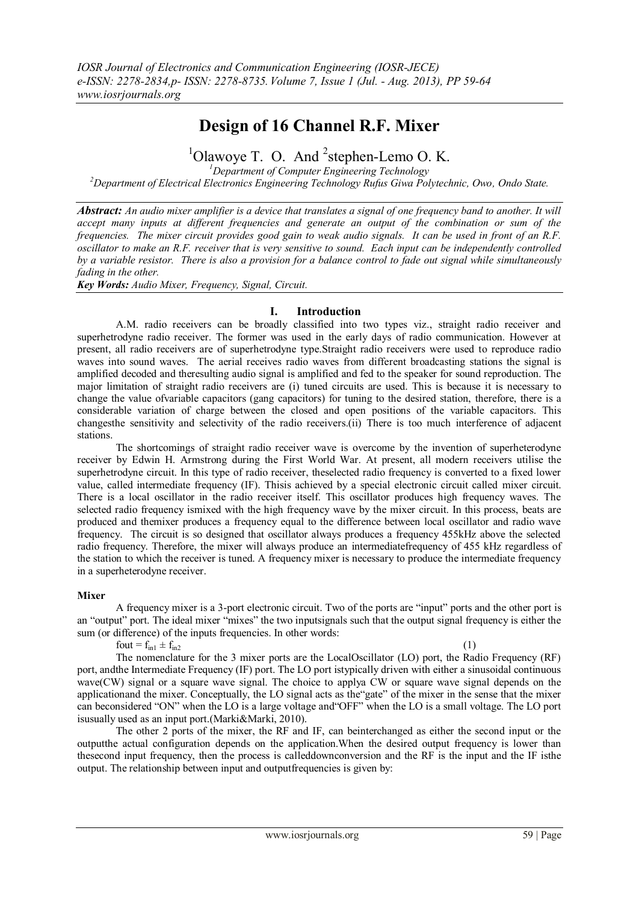# **Design of 16 Channel R.F. Mixer**

 $1$ Olawoye T. O. And  $2$ stephen-Lemo O. K.

*<sup>1</sup>Department of Computer Engineering Technology* 

*<sup>2</sup>Department of Electrical Electronics Engineering Technology Rufus Giwa Polytechnic, Owo, Ondo State.*

*Abstract: An audio mixer amplifier is a device that translates a signal of one frequency band to another. It will accept many inputs at different frequencies and generate an output of the combination or sum of the frequencies. The mixer circuit provides good gain to weak audio signals. It can be used in front of an R.F. oscillator to make an R.F. receiver that is very sensitive to sound. Each input can be independently controlled by a variable resistor. There is also a provision for a balance control to fade out signal while simultaneously fading in the other.*

*Key Words: Audio Mixer, Frequency, Signal, Circuit.*

# **I. Introduction**

A.M. radio receivers can be broadly classified into two types viz., straight radio receiver and superhetrodyne radio receiver. The former was used in the early days of radio communication. However at present, all radio receivers are of superhetrodyne type.Straight radio receivers were used to reproduce radio waves into sound waves. The aerial receives radio waves from different broadcasting stations the signal is amplified decoded and theresulting audio signal is amplified and fed to the speaker for sound reproduction. The major limitation of straight radio receivers are (i) tuned circuits are used. This is because it is necessary to change the value ofvariable capacitors (gang capacitors) for tuning to the desired station, therefore, there is a considerable variation of charge between the closed and open positions of the variable capacitors. This changesthe sensitivity and selectivity of the radio receivers.(ii) There is too much interference of adjacent stations.

The shortcomings of straight radio receiver wave is overcome by the invention of superheterodyne receiver by Edwin H. Armstrong during the First World War. At present, all modern receivers utilise the superhetrodyne circuit. In this type of radio receiver, theselected radio frequency is converted to a fixed lower value, called intermediate frequency (IF). Thisis achieved by a special electronic circuit called mixer circuit. There is a local oscillator in the radio receiver itself. This oscillator produces high frequency waves. The selected radio frequency ismixed with the high frequency wave by the mixer circuit. In this process, beats are produced and themixer produces a frequency equal to the difference between local oscillator and radio wave frequency. The circuit is so designed that oscillator always produces a frequency 455kHz above the selected radio frequency. Therefore, the mixer will always produce an intermediatefrequency of 455 kHz regardless of the station to which the receiver is tuned. A frequency mixer is necessary to produce the intermediate frequency in a superheterodyne receiver.

#### **Mixer**

A frequency mixer is a 3-port electronic circuit. Two of the ports are "input" ports and the other port is an "output" port. The ideal mixer "mixes" the two inputsignals such that the output signal frequency is either the sum (or difference) of the inputs frequencies. In other words:

fout =  $f_{in1}$   $\pm$   $f_{in2}$ 

The nomenclature for the 3 mixer ports are the LocalOscillator (LO) port, the Radio Frequency (RF) port, andthe Intermediate Frequency (IF) port. The LO port istypically driven with either a sinusoidal continuous wave(CW) signal or a square wave signal. The choice to applya CW or square wave signal depends on the applicationand the mixer. Conceptually, the LO signal acts as the"gate" of the mixer in the sense that the mixer can beconsidered "ON" when the LO is a large voltage and"OFF" when the LO is a small voltage. The LO port isusually used as an input port.(Marki&Marki, 2010).

The other 2 ports of the mixer, the RF and IF, can beinterchanged as either the second input or the outputthe actual configuration depends on the application.When the desired output frequency is lower than thesecond input frequency, then the process is calleddownconversion and the RF is the input and the IF isthe output. The relationship between input and outputfrequencies is given by: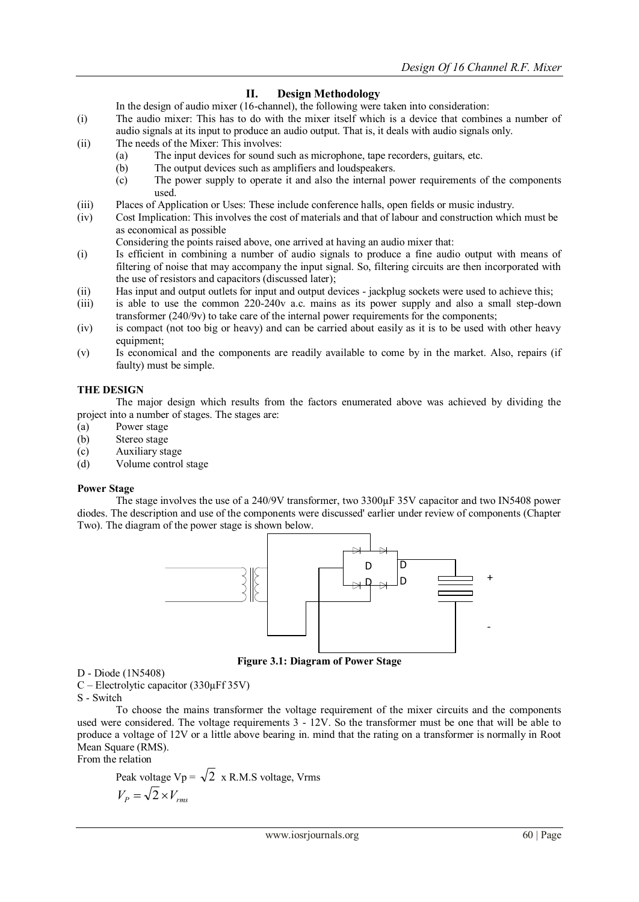# **II. Design Methodology**

- In the design of audio mixer (16-channel), the following were taken into consideration:
- (i) The audio mixer: This has to do with the mixer itself which is a device that combines a number of audio signals at its input to produce an audio output. That is, it deals with audio signals only.
- (ii) The needs of the Mixer: This involves:
	- (a) The input devices for sound such as microphone, tape recorders, guitars, etc.
	- (b) The output devices such as amplifiers and loudspeakers.
	- (c) The power supply to operate it and also the internal power requirements of the components used.
- (iii) Places of Application or Uses: These include conference halls, open fields or music industry.
- (iv) Cost Implication: This involves the cost of materials and that of labour and construction which must be as economical as possible
	- Considering the points raised above, one arrived at having an audio mixer that:
- (i) Is efficient in combining a number of audio signals to produce a fine audio output with means of filtering of noise that may accompany the input signal. So, filtering circuits are then incorporated with the use of resistors and capacitors (discussed later);
- (ii) Has input and output outlets for input and output devices jackplug sockets were used to achieve this;
- (iii) is able to use the common 220-240v a.c. mains as its power supply and also a small step-down transformer (240/9v) to take care of the internal power requirements for the components;
- (iv) is compact (not too big or heavy) and can be carried about easily as it is to be used with other heavy equipment;
- (v) Is economical and the components are readily available to come by in the market. Also, repairs (if faulty) must be simple.

#### **THE DESIGN**

The major design which results from the factors enumerated above was achieved by dividing the project into a number of stages. The stages are:

- (a) Power stage
- (b) Stereo stage
- (c) Auxiliary stage<br>(d) Volume control
- Volume control stage

# **Power Stage**

The stage involves the use of a 240/9V transformer, two 3300µF 35V capacitor and two IN5408 power diodes. The description and use of the components were discussed' earlier under review of components (Chapter Two). The diagram of the power stage is shown below.



**Figure 3.1: Diagram of Power Stage** 

D - Diode (1N5408)

C – Electrolytic capacitor (330µFf 35V)

S - Switch

To choose the mains transformer the voltage requirement of the mixer circuits and the components used were considered. The voltage requirements 3 - 12V. So the transformer must be one that will be able to produce a voltage of 12V or a little above bearing in. mind that the rating on a transformer is normally in Root Mean Square (RMS).

From the relation

Peak voltage Vp = 
$$
\sqrt{2}
$$
 x R.M.S voltage, Vrms  

$$
V_P = \sqrt{2} \times V_{rms}
$$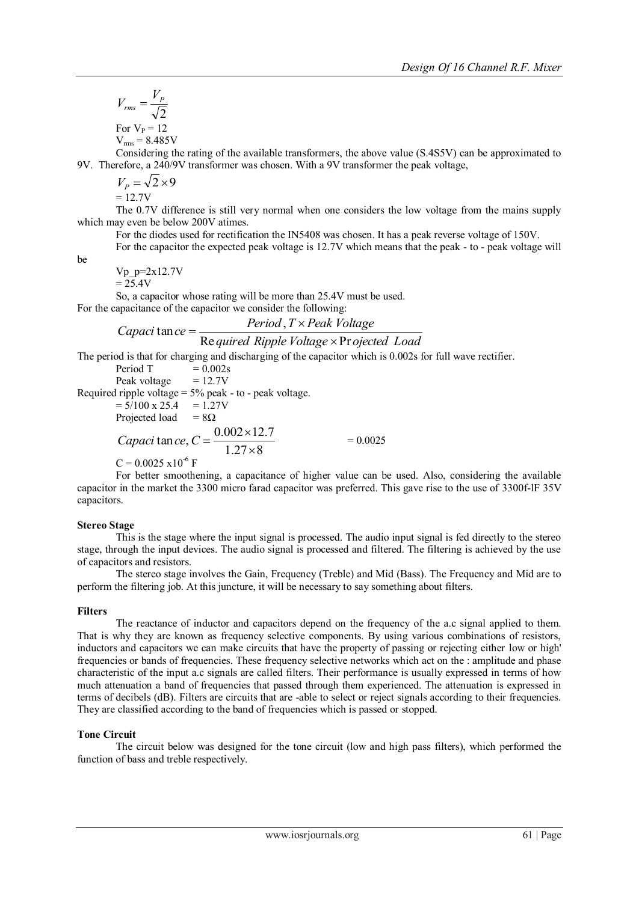$$
V_{rms} = \frac{V_P}{\sqrt{2}}
$$
  
For V<sub>P</sub> = 12  
V<sub>rms</sub> = 8.485V

Considering the rating of the available transformers, the above value (S.4S5V) can be approximated to 9V. Therefore, a 240/9V transformer was chosen. With a 9V transformer the peak voltage,

 $V_p = \sqrt{2 \times 9}$ 

 $= 12.7V$ 

The 0.7V difference is still very normal when one considers the low voltage from the mains supply which may even be below 200V atimes.

For the diodes used for rectification the IN5408 was chosen. It has a peak reverse voltage of 150V.

For the capacitor the expected peak voltage is 12.7V which means that the peak - to - peak voltage will

be

Vp\_p=2x12.7V

 $= 25.4V$ 

So, a capacitor whose rating will be more than 25.4V must be used.

For the capacitance of the capacitor we consider the following:

Capaci tan ce = 
$$
\frac{Period, T \times Peak \; Voltage}{\sqrt{1 + (1 - T) \cdot 1 + (1 - T) \cdot 2}}
$$

#### *quired Ripple Voltage ojected Load* Required Ripple Voltage × Pr  $tan ce =$

The period is that for charging and discharging of the capacitor which is 0.002s for full wave rectifier.

Period T  $= 0.002$ s Peak voltage  $= 12.7V$ Required ripple voltage  $= 5\%$  peak - to - peak voltage.  $= 5/100 \times 25.4 = 1.27V$ Projected load =  $8\Omega$  $1.27 \times 8$  $\tan ce, C = \frac{0.002 \times 12.7}{1.27 \times 10^{-7}}$  $\times$ *Capaci*  $\tan ce, C = \frac{0.002 \times}{1.25}$  $= 0.0025$  $C = 0.0025 \times 10^{-6}$  F

For better smoothening, a capacitance of higher value can be used. Also, considering the available capacitor in the market the 3300 micro farad capacitor was preferred. This gave rise to the use of 3300f-lF 35V capacitors.

# **Stereo Stage**

This is the stage where the input signal is processed. The audio input signal is fed directly to the stereo stage, through the input devices. The audio signal is processed and filtered. The filtering is achieved by the use of capacitors and resistors.

The stereo stage involves the Gain, Frequency (Treble) and Mid (Bass). The Frequency and Mid are to perform the filtering job. At this juncture, it will be necessary to say something about filters.

# **Filters**

The reactance of inductor and capacitors depend on the frequency of the a.c signal applied to them. That is why they are known as frequency selective components. By using various combinations of resistors, inductors and capacitors we can make circuits that have the property of passing or rejecting either low or high' frequencies or bands of frequencies. These frequency selective networks which act on the : amplitude and phase characteristic of the input a.c signals are called filters. Their performance is usually expressed in terms of how much attenuation a band of frequencies that passed through them experienced. The attenuation is expressed in terms of decibels (dB). Filters are circuits that are -able to select or reject signals according to their frequencies. They are classified according to the band of frequencies which is passed or stopped.

# **Tone Circuit**

The circuit below was designed for the tone circuit (low and high pass filters), which performed the function of bass and treble respectively.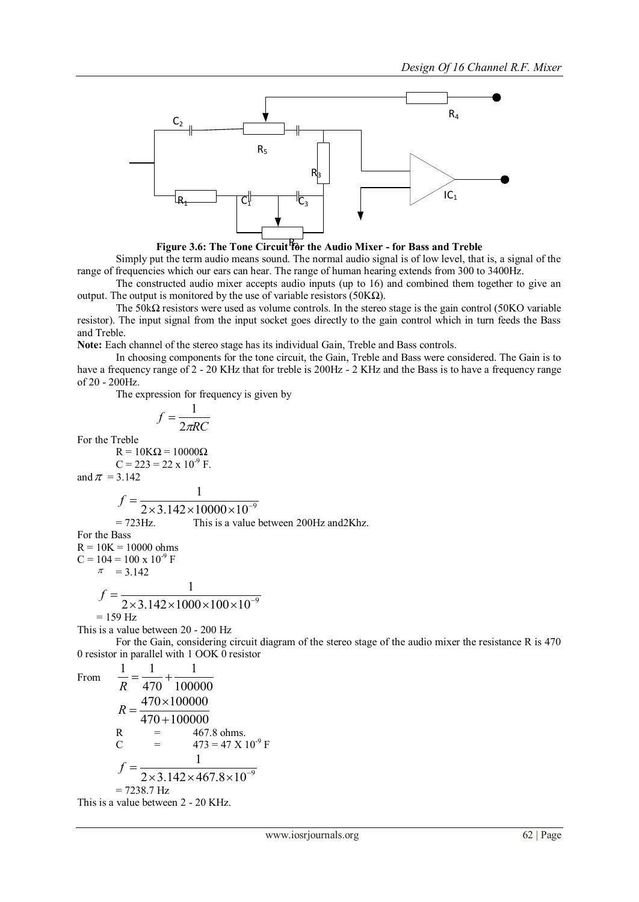



Simply put the term audio means sound. The normal audio signal is of low level, that is, a signal of the range of frequencies which our ears can hear. The range of human hearing extends from 300 to 3400Hz.

The constructed audio mixer accepts audio inputs (up to 16) and combined them together to give an output. The output is monitored by the use of variable resistors (50KΩ).

The 50k $\Omega$  resistors were used as volume controls. In the stereo stage is the gain control (50KO variable resistor). The input signal from the input socket goes directly to the gain control which in turn feeds the Bass and Treble.

**Note:** Each channel of the stereo stage has its individual Gain, Treble and Bass controls.

In choosing components for the tone circuit, the Gain, Treble and Bass were considered. The Gain is to have a frequency range of 2 - 20 KHz that for treble is 200Hz - 2 KHz and the Bass is to have a frequency range of 20 - 200Hz.

The expression for frequency is given by

$$
f = \frac{1}{2\pi RC}
$$

For the Treble

 $R = 10K\Omega = 10000\Omega$  $C = 223 = 22 \times 10^{-9}$  F.

and 
$$
\pi = 3.142
$$

$$
f = \frac{1}{2 \times 3.142 \times 10000 \times 10^{-9}}
$$
  
= 723 Hz. This is a value between 200 Hz and 2Khz.

For the Bass

 $R = 10K = 10000$  ohms  $C = 104 = 100 \times 10^{-9}$  F  $\pi = 3.142$ 1

1 1

$$
f = \frac{1}{2 \times 3.142 \times 1000 \times 100 \times 10^{-9}}
$$
  
= 159 Hz

This is a value between 20 - 200 Hz

For the Gain, considering circuit diagram of the stereo stage of the audio mixer the resistance R is 470 0 resistor in parallel with 1 OOK 0 resistor

From

$$
\frac{1}{R} = \frac{1}{470} + \frac{1}{100000}
$$
  
\n
$$
R = \frac{470 \times 100000}{470 + 100000}
$$
  
\nR = 467.8 ohms.  
\nC = 473 = 47 X 10<sup>-9</sup> F  
\n
$$
f = \frac{1}{2 \times 3.142 \times 467.8 \times 10^{-9}}
$$
  
\n= 7238.7 Hz

1

This is a value between 2 - 20 KHz.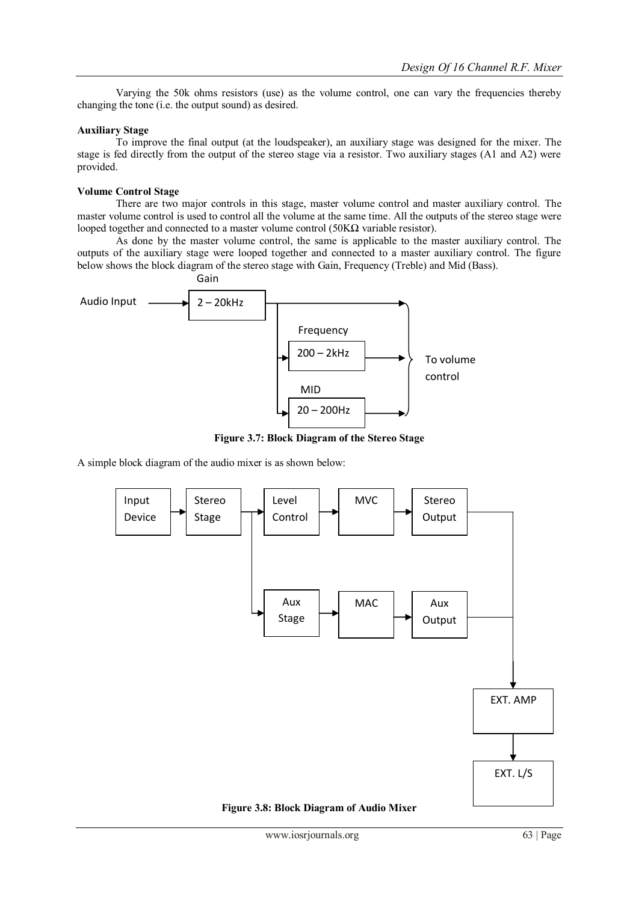Varying the 50k ohms resistors (use) as the volume control, one can vary the frequencies thereby changing the tone (i.e. the output sound) as desired.

#### **Auxiliary Stage**

To improve the final output (at the loudspeaker), an auxiliary stage was designed for the mixer. The stage is fed directly from the output of the stereo stage via a resistor. Two auxiliary stages (A1 and A2) were provided.

#### **Volume Control Stage**

There are two major controls in this stage, master volume control and master auxiliary control. The master volume control is used to control all the volume at the same time. All the outputs of the stereo stage were looped together and connected to a master volume control (50KΩ variable resistor).

As done by the master volume control, the same is applicable to the master auxiliary control. The outputs of the auxiliary stage were looped together and connected to a master auxiliary control. The figure below shows the block diagram of the stereo stage with Gain, Frequency (Treble) and Mid (Bass).



**Figure 3.7: Block Diagram of the Stereo Stage**

A simple block diagram of the audio mixer is as shown below: